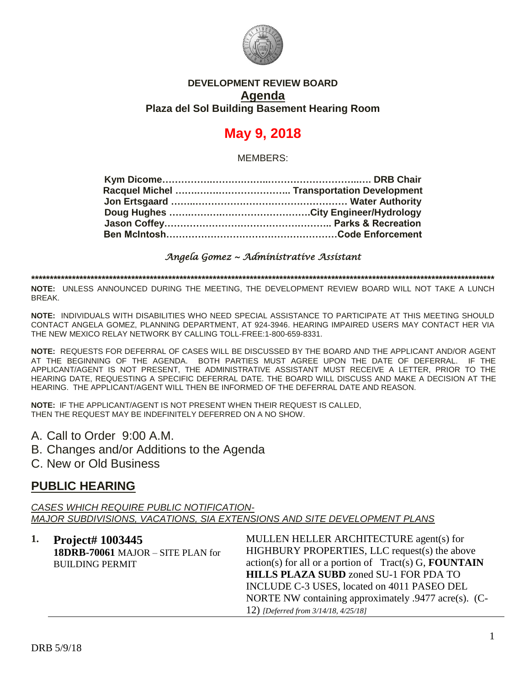

### **DEVELOPMENT REVIEW BOARD Agenda Plaza del Sol Building Basement Hearing Room**

# **May 9, 2018**

MEMBERS:

### *Angela Gomez ~ Administrative Assistant*

**\*\*\*\*\*\*\*\*\*\*\*\*\*\*\*\*\*\*\*\*\*\*\*\*\*\*\*\*\*\*\*\*\*\*\*\*\*\*\*\*\*\*\*\*\*\*\*\*\*\*\*\*\*\*\*\*\*\*\*\*\*\*\*\*\*\*\*\*\*\*\*\*\*\*\*\*\*\*\*\*\*\*\*\*\*\*\*\*\*\*\*\*\*\*\*\*\*\*\*\*\*\*\*\*\*\*\*\*\*\*\*\*\*\*\*\*\*\*\*\*\*\*\*\*\***

**NOTE:** UNLESS ANNOUNCED DURING THE MEETING, THE DEVELOPMENT REVIEW BOARD WILL NOT TAKE A LUNCH BREAK.

**NOTE:** INDIVIDUALS WITH DISABILITIES WHO NEED SPECIAL ASSISTANCE TO PARTICIPATE AT THIS MEETING SHOULD CONTACT ANGELA GOMEZ, PLANNING DEPARTMENT, AT 924-3946. HEARING IMPAIRED USERS MAY CONTACT HER VIA THE NEW MEXICO RELAY NETWORK BY CALLING TOLL-FREE:1-800-659-8331.

**NOTE:** REQUESTS FOR DEFERRAL OF CASES WILL BE DISCUSSED BY THE BOARD AND THE APPLICANT AND/OR AGENT AT THE BEGINNING OF THE AGENDA. BOTH PARTIES MUST AGREE UPON THE DATE OF DEFERRAL. IF THE APPLICANT/AGENT IS NOT PRESENT, THE ADMINISTRATIVE ASSISTANT MUST RECEIVE A LETTER, PRIOR TO THE HEARING DATE, REQUESTING A SPECIFIC DEFERRAL DATE. THE BOARD WILL DISCUSS AND MAKE A DECISION AT THE HEARING. THE APPLICANT/AGENT WILL THEN BE INFORMED OF THE DEFERRAL DATE AND REASON.

**NOTE:** IF THE APPLICANT/AGENT IS NOT PRESENT WHEN THEIR REQUEST IS CALLED, THEN THE REQUEST MAY BE INDEFINITELY DEFERRED ON A NO SHOW.

- A. Call to Order 9:00 A.M.
- B. Changes and/or Additions to the Agenda
- C. New or Old Business

## **PUBLIC HEARING**

*CASES WHICH REQUIRE PUBLIC NOTIFICATION-MAJOR SUBDIVISIONS, VACATIONS, SIA EXTENSIONS AND SITE DEVELOPMENT PLANS*

| 1. | <b>Project# 1003445</b>           | MULLEN HELLER ARCHITECTURE agent(s) for                         |
|----|-----------------------------------|-----------------------------------------------------------------|
|    | 18DRB-70061 MAJOR - SITE PLAN for | HIGHBURY PROPERTIES, LLC request(s) the above                   |
|    | <b>BUILDING PERMIT</b>            | $action(s)$ for all or a portion of Tract(s) G, <b>FOUNTAIN</b> |
|    |                                   | <b>HILLS PLAZA SUBD</b> zoned SU-1 FOR PDA TO                   |
|    |                                   | INCLUDE C-3 USES, located on 4011 PASEO DEL                     |
|    |                                   | NORTE NW containing approximately .9477 acre(s). (C-            |
|    |                                   | 12) [Deferred from 3/14/18, 4/25/18]                            |